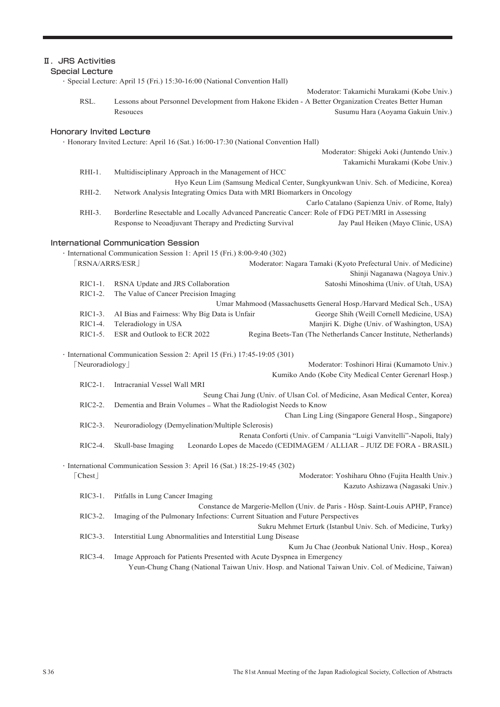## Ⅱ.JRS Activities

#### Special Lecture

・Special Lecture: April 15 (Fri.) 15:30-16:00 (National Convention Hall)

RSL. Lessons about Personnel Development from Hakone Ekiden - A Better Organization Creates Better Human Resouces Susumu Hara (Aoyama Gakuin Univ.)

#### Honorary Invited Lecture

・Honorary Invited Lecture: April 16 (Sat.) 16:00-17:30 (National Convention Hall)

Moderator: Shigeki Aoki (Juntendo Univ.) Takamichi Murakami (Kobe Univ.)

Moderator: Takamichi Murakami (Kobe Univ.)

- RHI-1. Multidisciplinary Approach in the Management of HCC Hyo Keun Lim (Samsung Medical Center, Sungkyunkwan Univ. Sch. of Medicine, Korea) RHI-2. Network Analysis Integrating Omics Data with MRI Biomarkers in Oncology
- Carlo Catalano (Sapienza Univ. of Rome, Italy) RHI-3. Borderline Resectable and Locally Advanced Pancreatic Cancer: Role of FDG PET/MRI in Assessing Response to Neoadjuvant Therapy and Predicting Survival Jay Paul Heiken (Mayo Clinic, USA)

#### International Communication Session

|                          | · International Communication Session 1: April 15 (Fri.) 8:00-9:40 (302)   |                                                                                |
|--------------------------|----------------------------------------------------------------------------|--------------------------------------------------------------------------------|
| [RSNA/ARRS/ESR]          |                                                                            | Moderator: Nagara Tamaki (Kyoto Prefectural Univ. of Medicine)                 |
|                          |                                                                            | Shinji Naganawa (Nagoya Univ.)                                                 |
| $RIC1-1.$                | RSNA Update and JRS Collaboration                                          | Satoshi Minoshima (Univ. of Utah, USA)                                         |
| RIC1-2.                  | The Value of Cancer Precision Imaging                                      |                                                                                |
|                          |                                                                            | Umar Mahmood (Massachusetts General Hosp./Harvard Medical Sch., USA)           |
| $RIC1-3.$                | AI Bias and Fairness: Why Big Data is Unfair                               | George Shih (Weill Cornell Medicine, USA)                                      |
| $RIC1-4.$                | Teleradiology in USA                                                       | Manjiri K. Dighe (Univ. of Washington, USA)                                    |
| $RIC1-5.$                | ESR and Outlook to ECR 2022                                                | Regina Beets-Tan (The Netherlands Cancer Institute, Netherlands)               |
|                          | · International Communication Session 2: April 15 (Fri.) 17:45-19:05 (301) |                                                                                |
| Neuroradiology           |                                                                            | Moderator: Toshinori Hirai (Kumamoto Univ.)                                    |
|                          |                                                                            | Kumiko Ando (Kobe City Medical Center Gerenarl Hosp.)                          |
| $RIC2-1.$                | Intracranial Vessel Wall MRI                                               |                                                                                |
|                          |                                                                            | Seung Chai Jung (Univ. of Ulsan Col. of Medicine, Asan Medical Center, Korea)  |
| $RIC2-2.$                | Dementia and Brain Volumes - What the Radiologist Needs to Know            |                                                                                |
|                          |                                                                            | Chan Ling Ling (Singapore General Hosp., Singapore)                            |
| $RIC2-3.$                | Neuroradiology (Demyelination/Multiple Sclerosis)                          |                                                                                |
|                          |                                                                            | Renata Conforti (Univ. of Campania "Luigi Vanvitelli"-Napoli, Italy)           |
| $RIC2-4.$                | Skull-base Imaging                                                         | Leonardo Lopes de Macedo (CEDIMAGEM / ALLIAR – JUIZ DE FORA - BRASIL)          |
|                          | · International Communication Session 3: April 16 (Sat.) 18:25-19:45 (302) |                                                                                |
| $\lceil$ Chest $\rfloor$ |                                                                            | Moderator: Yoshiharu Ohno (Fujita Health Univ.)                                |
|                          |                                                                            | Kazuto Ashizawa (Nagasaki Univ.)                                               |
| $RIC3-1$ .               | Pitfalls in Lung Cancer Imaging                                            |                                                                                |
|                          |                                                                            | Constance de Margerie-Mellon (Univ. de Paris - Hôsp. Saint-Louis APHP, France) |
| $RIC3-2.$                |                                                                            | Imaging of the Pulmonary Infections: Current Situation and Future Perspectives |

Sukru Mehmet Erturk (Istanbul Univ. Sch. of Medicine, Turky) RIC3-3. Interstitial Lung Abnormalities and Interstitial Lung Disease

Kum Ju Chae (Jeonbuk National Univ. Hosp., Korea) RIC3-4. Image Approach for Patients Presented with Acute Dyspnea in Emergency

Yeun-Chung Chang (National Taiwan Univ. Hosp. and National Taiwan Univ. Col. of Medicine, Taiwan)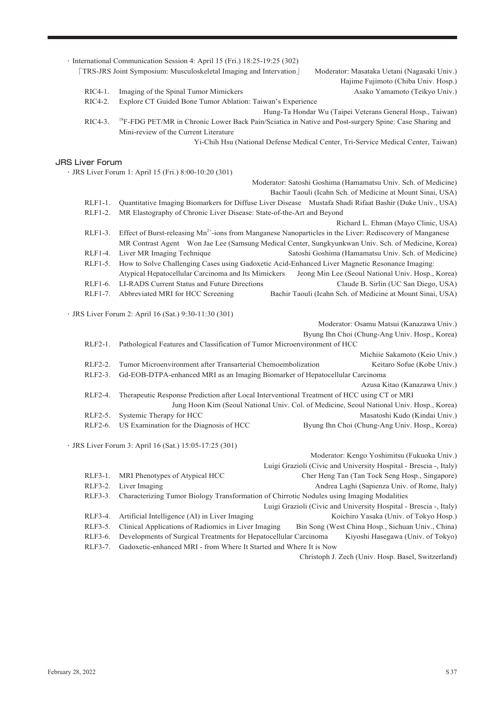|                        | · International Communication Session 4: April 15 (Fri.) 18:25-19:25 (302)<br>[TRS-JRS Joint Symposium: Musculoskeletal Imaging and Intervation] | Moderator: Masataka Uetani (Nagasaki Univ.)                                                 |
|------------------------|--------------------------------------------------------------------------------------------------------------------------------------------------|---------------------------------------------------------------------------------------------|
|                        |                                                                                                                                                  | Hajime Fujimoto (Chiba Univ. Hosp.)                                                         |
| RIC4-1.                | Imaging of the Spinal Tumor Mimickers                                                                                                            | Asako Yamamoto (Teikyo Univ.)                                                               |
| RIC4-2.                | Explore CT Guided Bone Tumor Ablation: Taiwan's Experience                                                                                       |                                                                                             |
|                        |                                                                                                                                                  | Hung-Ta Hondar Wu (Taipei Veterans General Hosp., Taiwan)                                   |
| RIC4-3.                | <sup>18</sup> F-FDG PET/MR in Chronic Lower Back Pain/Sciatica in Native and Post-surgery Spine: Case Sharing and                                |                                                                                             |
|                        | Mini-review of the Current Literature                                                                                                            |                                                                                             |
|                        |                                                                                                                                                  | Yi-Chih Hsu (National Defense Medical Center, Tri-Service Medical Center, Taiwan)           |
|                        |                                                                                                                                                  |                                                                                             |
| <b>JRS Liver Forum</b> |                                                                                                                                                  |                                                                                             |
|                        | · JRS Liver Forum 1: April 15 (Fri.) 8:00-10:20 (301)                                                                                            |                                                                                             |
|                        |                                                                                                                                                  | Moderator: Satoshi Goshima (Hamamatsu Univ. Sch. of Medicine)                               |
|                        |                                                                                                                                                  | Bachir Taouli (Icahn Sch. of Medicine at Mount Sinai, USA)                                  |
| RLF1-1.                | Quantitative Imaging Biomarkers for Diffuse Liver Disease Mustafa Shadi Rifaat Bashir (Duke Univ., USA)                                          |                                                                                             |
| RLF1-2.                | MR Elastography of Chronic Liver Disease: State-of-the-Art and Beyond                                                                            |                                                                                             |
|                        |                                                                                                                                                  | Richard L. Ehman (Mayo Clinic, USA)                                                         |
| RLF1-3.                | Effect of Burst-releasing Mn <sup>2+</sup> -ions from Manganese Nanoparticles in the Liver: Rediscovery of Manganese                             |                                                                                             |
|                        | MR Contrast Agent Won Jae Lee (Samsung Medical Center, Sungkyunkwan Univ. Sch. of Medicine, Korea)                                               |                                                                                             |
| RLF1-4.                | Liver MR Imaging Technique                                                                                                                       | Satoshi Goshima (Hamamatsu Univ. Sch. of Medicine)                                          |
| RLF1-5.                | How to Solve Challenging Cases using Gadoxetic Acid-Enhanced Liver Magnetic Resonance Imaging:                                                   |                                                                                             |
|                        | Atypical Hepatocellular Carcinoma and Its Mimickers                                                                                              | Jeong Min Lee (Seoul National Univ. Hosp., Korea)                                           |
| RLF1-6.                | LI-RADS Current Status and Future Directions                                                                                                     | Claude B. Sirlin (UC San Diego, USA)                                                        |
| RLF1-7.                | Abbreviated MRI for HCC Screening                                                                                                                | Bachir Taouli (Icahn Sch. of Medicine at Mount Sinai, USA)                                  |
|                        |                                                                                                                                                  |                                                                                             |
|                        | · JRS Liver Forum 2: April 16 (Sat.) 9:30-11:30 (301)                                                                                            |                                                                                             |
|                        |                                                                                                                                                  | Moderator: Osamu Matsui (Kanazawa Univ.)                                                    |
|                        |                                                                                                                                                  | Byung Ihn Choi (Chung-Ang Univ. Hosp., Korea)                                               |
| RLF2-1.                | Pathological Features and Classification of Tumor Microenvironment of HCC                                                                        |                                                                                             |
|                        |                                                                                                                                                  | Michiie Sakamoto (Keio Univ.)                                                               |
| RLF2-2.                | Tumor Microenvironment after Transarterial Chemoembolization                                                                                     | Keitaro Sofue (Kobe Univ.)                                                                  |
| RLF2-3.                | Gd-EOB-DTPA-enhanced MRI as an Imaging Biomarker of Hepatocellular Carcinoma                                                                     |                                                                                             |
|                        |                                                                                                                                                  | Azusa Kitao (Kanazawa Univ.)                                                                |
| RLF2-4.                | Therapeutic Response Prediction after Local Interventional Treatment of HCC using CT or MRI                                                      |                                                                                             |
|                        |                                                                                                                                                  | Jung Hoon Kim (Seoul National Univ. Col. of Medicine, Seoul National Univ. Hosp., Korea)    |
| RLF2-5.                | Systemic Therapy for HCC                                                                                                                         | Masatoshi Kudo (Kindai Univ.)                                                               |
|                        | RLF2-6. US Examination for the Diagnosis of HCC                                                                                                  | Byung Ihn Choi (Chung-Ang Univ. Hosp., Korea)                                               |
|                        |                                                                                                                                                  |                                                                                             |
|                        | · JRS Liver Forum 3: April 16 (Sat.) 15:05-17:25 (301)                                                                                           |                                                                                             |
|                        |                                                                                                                                                  | Moderator: Kengo Yoshimitsu (Fukuoka Univ.)                                                 |
|                        |                                                                                                                                                  | Luigi Grazioli (Civic and University Hospital - Brescia -, Italy)                           |
| RLF3-1.                | MRI Phenotypes of Atypical HCC                                                                                                                   | Cher Heng Tan (Tan Tock Seng Hosp., Singapore)                                              |
| RLF3-2.                | Liver Imaging                                                                                                                                    | Andrea Laghi (Sapienza Univ. of Rome, Italy)                                                |
| RLF3-3.                | Characterizing Tumor Biology Transformation of Chirrotic Nodules using Imaging Modalities                                                        |                                                                                             |
|                        |                                                                                                                                                  | Luigi Grazioli (Civic and University Hospital - Brescia -, Italy)                           |
| RLF3-4.<br>RLF3-5.     | Artificial Intelligence (AI) in Liver Imaging<br>Clinical Applications of Radiomics in Liver Imaging                                             | Koichiro Yasaka (Univ. of Tokyo Hosp.)<br>Bin Song (West China Hosp., Sichuan Univ., China) |
| RLF3-6.                | Developments of Surgical Treatments for Hepatocellular Carcinoma                                                                                 | Kiyoshi Hasegawa (Univ. of Tokyo)                                                           |
|                        |                                                                                                                                                  |                                                                                             |

RLF3-7. Gadoxetic-enhanced MRI - from Where It Started and Where It is Now

Christoph J. Zech (Univ. Hosp. Basel, Switzerland)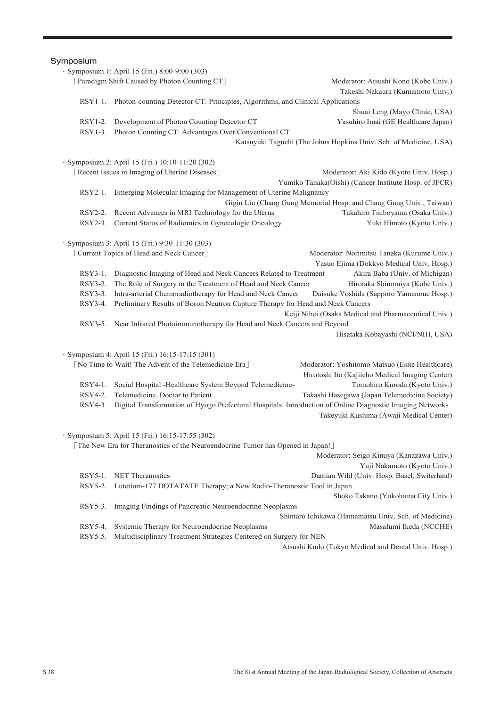# **Symposium** ・Symposium 1: April 15 (Fri.) 8:00-9:00 (303) [Paradigm Shift Caused by Photon Counting CT] Moderator: Atsushi Kono (Kobe Univ.) Takeshi Nakaura (Kumamoto Univ.) RSY1-1. Photon-counting Detector CT: Principles, Algorithms, and Clinical Applications Shuai Leng (Mayo Clinic, USA) RSY1-2. Development of Photon Counting Detector CT Yasuhiro Imai (GE Healthcare Japan) RSY1-3. Photon Counting CT: Advantages Over Conventional CT Katsuyuki Taguchi (The Johns Hopkins Univ. Sch. of Medicine, USA) ・Symposium 2: April 15 (Fri.) 10:10-11:20 (302) 「Recent Issues in Imaging of Uterine Diseases」 Moderator: Aki Kido (Kyoto Univ. Hosp.) Yumiko Tanaka(Oishi) (Cancer Institute Hosp. of JFCR) RSY2-1. Emerging Molecular Imaging for Management of Uterine Malignancy Gigin Lin (Chang Gung Memorial Hosp. and Chang Gung Univ., Taiwan) RSY2-2. Recent Advances in MRI Technology for the Uterus Takahiro Tsuboyama (Osaka Univ.) RSY2-3. Current Status of Radiomics in Gynecologic Oncology Yuki Himoto (Kyoto Univ.) ・Symposium 3: April 15 (Fri.) 9:30-11:30 (303) Form Topics of Head and Neck Cancer」 Moderator: Norimitsu Tanaka (Kurume Univ.) Yasuo Ejima (Dokkyo Medical Univ. Hosp.) RSY3-1. Diagnostic Imaging of Head and Neck Cancers Related to Treatment Akira Baba (Univ. of Michigan) RSY3-2. The Role of Surgery in the Treatment of Head and Neck Cancer Hirotaka Shinomiya (Kobe Univ.) RSY3-3. Intra-arterial Chemoradiotherapy for Head and Neck Cancer Daisuke Yoshida (Sapporo Yamanoue Hosp.) RSY3-4. Preliminary Results of Boron Neutron Capture Therapy for Head and Neck Cancers Keiji Nihei (Osaka Medical and Pharmaceutical Univ.) RSY3-5. Near Infrared Photoimmunotherapy for Head and Neck Cancers and Beyond Hisataka Kobayashi (NCI/NIH, USA) ・Symposium 4: April 15 (Fri.) 16:15-17:15 (301) 「No Time to Wait! The Advent of the Telemedicine Era」 Moderator: Yoshitomo Matsuo (Esite Healthcare) Hirotoshi Ito (Kajiicho Medical Imaging Center) RSY4-1. Social Hospital -Healthcare System Beyond Telemedicine- Tomohiro Kuroda (Kyoto Univ.) RSY4-2. Telemedicine, Doctor to Patient Takashi Hasegawa (Japan Telemedicine Society) RSY4-3. Digital Transformation of Hyogo Prefectural Hospitals: Introduction of Online Diagnostic Imaging Networks Takeyuki Kushima (Awaji Medical Center) ・Symposium 5: April 15 (Fri.) 16:15-17:55 (302) 「The New Era for Theranostics of the Neuroendocrine Tumor has Opened in Japan!」 Moderator: Seigo Kinuya (Kanazawa Univ.) Yuji Nakamoto (Kyoto Univ.) RSY5-1. NET Theranostics Damian Wild (Univ. Hosp. Basel, Switerland) RSY5-2. Lutetium-177 DOTATATE Therapy; a New Radio-Theranostic Tool in Japan Shoko Takano (Yokohama City Univ.) RSY5-3. Imaging Findings of Pancreatic Neuroendocrine Neoplasms Shintaro Ichikawa (Hamamatsu Univ. Sch. of Medicine) RSY5-4. Systemic Therapy for Neuroendocrine Neoplasms Masafumi Ikeda (NCCHE)

RSY5-5. Multidisciplinary Treatment Strategies Centered on Surgery for NEN

Atsushi Kudo (Tokyo Medical and Dental Univ. Hosp.)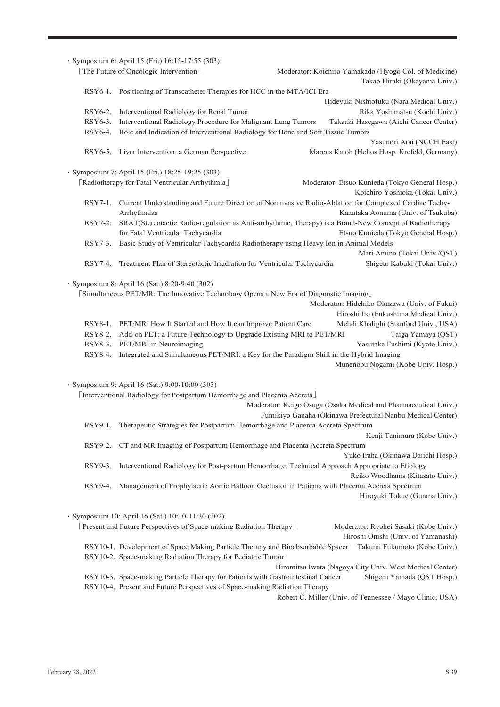|                                                                                                                                          | · Symposium 6: April 15 (Fri.) 16:15-17:55 (303)                                                                                              |                                                                                                                                             |  |
|------------------------------------------------------------------------------------------------------------------------------------------|-----------------------------------------------------------------------------------------------------------------------------------------------|---------------------------------------------------------------------------------------------------------------------------------------------|--|
|                                                                                                                                          | [The Future of Oncologic Intervention]                                                                                                        | Moderator: Koichiro Yamakado (Hyogo Col. of Medicine)                                                                                       |  |
|                                                                                                                                          |                                                                                                                                               | Takao Hiraki (Okayama Univ.)                                                                                                                |  |
|                                                                                                                                          | RSY6-1. Positioning of Transcatheter Therapies for HCC in the MTA/ICI Era                                                                     |                                                                                                                                             |  |
|                                                                                                                                          |                                                                                                                                               | Hideyuki Nishiofuku (Nara Medical Univ.)                                                                                                    |  |
| RSY6-2.                                                                                                                                  | Interventional Radiology for Renal Tumor                                                                                                      | Rika Yoshimatsu (Kochi Univ.)                                                                                                               |  |
| RSY6-3.                                                                                                                                  | Interventional Radiology Procedure for Malignant Lung Tumors                                                                                  | Takaaki Hasegawa (Aichi Cancer Center)                                                                                                      |  |
| RSY6-4.                                                                                                                                  | Role and Indication of Interventional Radiology for Bone and Soft Tissue Tumors                                                               |                                                                                                                                             |  |
|                                                                                                                                          | RSY6-5. Liver Intervention: a German Perspective                                                                                              | Yasunori Arai (NCCH East)<br>Marcus Katoh (Helios Hosp. Krefeld, Germany)                                                                   |  |
|                                                                                                                                          |                                                                                                                                               |                                                                                                                                             |  |
|                                                                                                                                          | · Symposium 7: April 15 (Fri.) 18:25-19:25 (303)<br>[Radiotherapy for Fatal Ventricular Arrhythmia]                                           |                                                                                                                                             |  |
|                                                                                                                                          |                                                                                                                                               | Moderator: Etsuo Kunieda (Tokyo General Hosp.)                                                                                              |  |
|                                                                                                                                          |                                                                                                                                               | Koichiro Yoshioka (Tokai Univ.)                                                                                                             |  |
| RSY7-1.                                                                                                                                  | Arrhythmias                                                                                                                                   | Current Understanding and Future Direction of Noninvasive Radio-Ablation for Complexed Cardiac Tachy-<br>Kazutaka Aonuma (Univ. of Tsukuba) |  |
| RSY7-2.                                                                                                                                  |                                                                                                                                               | SRAT(Stereotactic Radio-regulation as Anti-arrhythmic, Therapy) is a Brand-New Concept of Radiotherapy                                      |  |
|                                                                                                                                          | for Fatal Ventricular Tachycardia                                                                                                             | Etsuo Kunieda (Tokyo General Hosp.)                                                                                                         |  |
| RSY7-3.                                                                                                                                  | Basic Study of Ventricular Tachycardia Radiotherapy using Heavy Ion in Animal Models                                                          |                                                                                                                                             |  |
|                                                                                                                                          |                                                                                                                                               | Mari Amino (Tokai Univ./QST)                                                                                                                |  |
| RSY7-4.                                                                                                                                  | Treatment Plan of Stereotactic Irradiation for Ventricular Tachycardia                                                                        | Shigeto Kabuki (Tokai Univ.)                                                                                                                |  |
| · Symposium 8: April 16 (Sat.) 8:20-9:40 (302)<br>[Simultaneous PET/MR: The Innovative Technology Opens a New Era of Diagnostic Imaging] |                                                                                                                                               |                                                                                                                                             |  |
|                                                                                                                                          |                                                                                                                                               | Moderator: Hidehiko Okazawa (Univ. of Fukui)                                                                                                |  |
|                                                                                                                                          |                                                                                                                                               | Hiroshi Ito (Fukushima Medical Univ.)                                                                                                       |  |
| $RSY8-1.$                                                                                                                                | PET/MR: How It Started and How It can Improve Patient Care                                                                                    | Mehdi Khalighi (Stanford Univ., USA)                                                                                                        |  |
| RSY8-2.<br>RSY8-3.                                                                                                                       | Add-on PET: a Future Technology to Upgrade Existing MRI to PET/MRI<br>PET/MRI in Neuroimaging                                                 | Taiga Yamaya (QST)<br>Yasutaka Fushimi (Kyoto Univ.)                                                                                        |  |
| RSY8-4.                                                                                                                                  | Integrated and Simultaneous PET/MRI: a Key for the Paradigm Shift in the Hybrid Imaging                                                       |                                                                                                                                             |  |
|                                                                                                                                          |                                                                                                                                               | Munenobu Nogami (Kobe Univ. Hosp.)                                                                                                          |  |
|                                                                                                                                          |                                                                                                                                               |                                                                                                                                             |  |
|                                                                                                                                          | · Symposium 9: April 16 (Sat.) 9:00-10:00 (303)                                                                                               |                                                                                                                                             |  |
|                                                                                                                                          | [Interventional Radiology for Postpartum Hemorrhage and Placenta Accreta]                                                                     |                                                                                                                                             |  |
|                                                                                                                                          |                                                                                                                                               | Moderator: Keigo Osuga (Osaka Medical and Pharmaceutical Univ.)                                                                             |  |
|                                                                                                                                          |                                                                                                                                               | Fumikiyo Ganaha (Okinawa Prefectural Nanbu Medical Center)                                                                                  |  |
|                                                                                                                                          | RSY9-1. Therapeutic Strategies for Postpartum Hemorrhage and Placenta Accreta Spectrum                                                        |                                                                                                                                             |  |
|                                                                                                                                          |                                                                                                                                               | Kenji Tanimura (Kobe Univ.)                                                                                                                 |  |
|                                                                                                                                          | RSY9-2. CT and MR Imaging of Postpartum Hemorrhage and Placenta Accreta Spectrum                                                              |                                                                                                                                             |  |
|                                                                                                                                          |                                                                                                                                               | Yuko Iraha (Okinawa Daiichi Hosp.)                                                                                                          |  |
| RSY9-3.                                                                                                                                  |                                                                                                                                               | Interventional Radiology for Post-partum Hemorrhage; Technical Approach Appropriate to Etiology                                             |  |
|                                                                                                                                          |                                                                                                                                               | Reiko Woodhams (Kitasato Univ.)                                                                                                             |  |
| RSY9-4.                                                                                                                                  |                                                                                                                                               | Management of Prophylactic Aortic Balloon Occlusion in Patients with Placenta Accreta Spectrum                                              |  |
|                                                                                                                                          |                                                                                                                                               | Hiroyuki Tokue (Gunma Univ.)                                                                                                                |  |
|                                                                                                                                          |                                                                                                                                               |                                                                                                                                             |  |
|                                                                                                                                          | · Symposium 10: April 16 (Sat.) 10:10-11:30 (302)                                                                                             |                                                                                                                                             |  |
|                                                                                                                                          | [Present and Future Perspectives of Space-making Radiation Therapy]                                                                           | Moderator: Ryohei Sasaki (Kobe Univ.)                                                                                                       |  |
|                                                                                                                                          |                                                                                                                                               | Hiroshi Onishi (Univ. of Yamanashi)                                                                                                         |  |
|                                                                                                                                          | RSY10-1. Development of Space Making Particle Therapy and Bioabsorbable Spacer<br>RSY10-2. Space-making Radiation Therapy for Pediatric Tumor | Takumi Fukumoto (Kobe Univ.)                                                                                                                |  |
|                                                                                                                                          |                                                                                                                                               | Hiromitsu Iwata (Nagoya City Univ. West Medical Center)                                                                                     |  |
|                                                                                                                                          | RSY10-3. Space-making Particle Therapy for Patients with Gastrointestinal Cancer                                                              | Shigeru Yamada (QST Hosp.)                                                                                                                  |  |
|                                                                                                                                          | RSY10-4. Present and Future Perspectives of Space-making Radiation Therapy                                                                    |                                                                                                                                             |  |
|                                                                                                                                          |                                                                                                                                               |                                                                                                                                             |  |

Robert C. Miller (Univ. of Tennessee / Mayo Clinic, USA)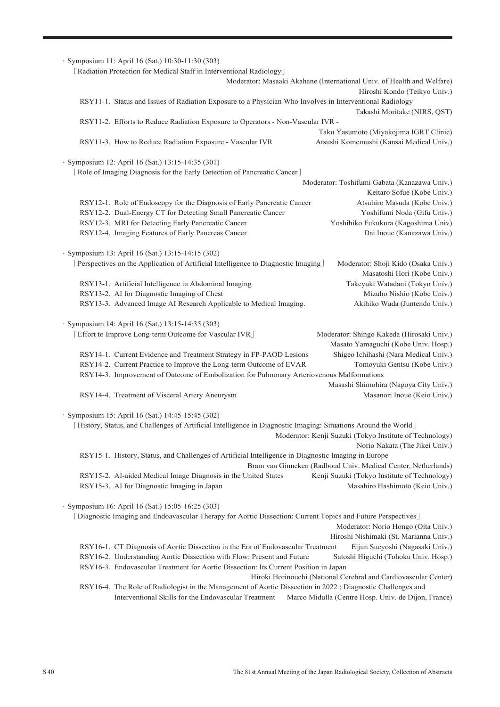| · Symposium 11: April 16 (Sat.) 10:30-11:30 (303)                                                                   |                                                                        |
|---------------------------------------------------------------------------------------------------------------------|------------------------------------------------------------------------|
| [Radiation Protection for Medical Staff in Interventional Radiology]                                                |                                                                        |
|                                                                                                                     | Moderator: Masaaki Akahane (International Univ. of Health and Welfare) |
|                                                                                                                     | Hiroshi Kondo (Teikyo Univ.)                                           |
| RSY11-1. Status and Issues of Radiation Exposure to a Physician Who Involves in Interventional Radiology            |                                                                        |
|                                                                                                                     | Takashi Moritake (NIRS, QST)                                           |
| RSY11-2. Efforts to Reduce Radiation Exposure to Operators - Non-Vascular IVR -                                     |                                                                        |
|                                                                                                                     | Taku Yasumoto (Miyakojima IGRT Clinic)                                 |
| RSY11-3. How to Reduce Radiation Exposure - Vascular IVR                                                            | Atsushi Komemushi (Kansai Medical Univ.)                               |
|                                                                                                                     |                                                                        |
| · Symposium 12: April 16 (Sat.) 13:15-14:35 (301)                                                                   |                                                                        |
| [Role of Imaging Diagnosis for the Early Detection of Pancreatic Cancer]                                            |                                                                        |
|                                                                                                                     | Moderator: Toshifumi Gabata (Kanazawa Univ.)                           |
|                                                                                                                     | Keitaro Sofue (Kobe Univ.)                                             |
| RSY12-1. Role of Endoscopy for the Diagnosis of Early Pancreatic Cancer                                             | Atsuhiro Masuda (Kobe Univ.)                                           |
| RSY12-2. Dual-Energy CT for Detecting Small Pancreatic Cancer<br>RSY12-3. MRI for Detecting Early Pancreatic Cancer | Yoshifumi Noda (Gifu Univ.)                                            |
|                                                                                                                     | Yoshihiko Fukukura (Kagoshima Univ)                                    |
| RSY12-4. Imaging Features of Early Pancreas Cancer                                                                  | Dai Inoue (Kanazawa Univ.)                                             |
| · Symposium 13: April 16 (Sat.) 13:15-14:15 (302)                                                                   |                                                                        |
| [Perspectives on the Application of Artificial Intelligence to Diagnostic Imaging]                                  | Moderator: Shoji Kido (Osaka Univ.)                                    |
|                                                                                                                     | Masatoshi Hori (Kobe Univ.)                                            |
| RSY13-1. Artificial Intelligence in Abdominal Imaging                                                               | Takeyuki Watadani (Tokyo Univ.)                                        |
| RSY13-2. AI for Diagnostic Imaging of Chest                                                                         | Mizuho Nishio (Kobe Univ.)                                             |
| RSY13-3. Advanced Image AI Research Applicable to Medical Imaging.                                                  | Akihiko Wada (Juntendo Univ.)                                          |
|                                                                                                                     |                                                                        |
| · Symposium 14: April 16 (Sat.) 13:15-14:35 (303)                                                                   |                                                                        |
| [Effort to Improve Long-term Outcome for Vascular IVR]                                                              | Moderator: Shingo Kakeda (Hirosaki Univ.)                              |
|                                                                                                                     | Masato Yamaguchi (Kobe Univ. Hosp.)                                    |
| RSY14-1. Current Evidence and Treatment Strategy in FP-PAOD Lesions                                                 | Shigeo Ichihashi (Nara Medical Univ.)                                  |
| RSY14-2. Current Practice to Improve the Long-term Outcome of EVAR                                                  | Tomoyuki Gentsu (Kobe Univ.)                                           |
| RSY14-3. Improvement of Outcome of Embolization for Pulmonary Arteriovenous Malformations                           |                                                                        |
|                                                                                                                     | Masashi Shimohira (Nagoya City Univ.)                                  |
| RSY14-4. Treatment of Visceral Artery Aneurysm                                                                      | Masanori Inoue (Keio Univ.)                                            |
|                                                                                                                     |                                                                        |
| · Symposium 15: April 16 (Sat.) 14:45-15:45 (302)                                                                   |                                                                        |
| [History, Status, and Challenges of Artificial Intelligence in Diagnostic Imaging: Situations Around the World      |                                                                        |
|                                                                                                                     | Moderator: Kenji Suzuki (Tokyo Institute of Technology)                |
|                                                                                                                     | Norio Nakata (The Jikei Univ.)                                         |
| RSY15-1. History, Status, and Challenges of Artificial Intelligence in Diagnostic Imaging in Europe                 |                                                                        |
|                                                                                                                     | Bram van Ginneken (Radboud Univ. Medical Center, Netherlands)          |
| RSY15-2. AI-aided Medical Image Diagnosis in the United States                                                      | Kenji Suzuki (Tokyo Institute of Technology)                           |
| RSY15-3. AI for Diagnostic Imaging in Japan                                                                         | Masahiro Hashimoto (Keio Univ.)                                        |
|                                                                                                                     |                                                                        |
| · Symposium 16: April 16 (Sat.) 15:05-16:25 (303)                                                                   |                                                                        |
| [Diagnostic Imaging and Endoavascular Therapy for Aortic Dissection: Current Topics and Future Perspectives]        |                                                                        |
|                                                                                                                     | Moderator: Norio Hongo (Oita Univ.)                                    |
|                                                                                                                     | Hiroshi Nishimaki (St. Marianna Univ.)                                 |
| RSY16-1. CT Diagnosis of Aortic Dissection in the Era of Endovascular Treatment                                     | Eijun Sueyoshi (Nagasaki Univ.)                                        |
| RSY16-2. Understanding Aortic Dissection with Flow: Present and Future                                              | Satoshi Higuchi (Tohoku Univ. Hosp.)                                   |
| RSY16-3. Endovascular Treatment for Aortic Dissection: Its Current Position in Japan                                |                                                                        |
|                                                                                                                     | Hiroki Horinouchi (National Cerebral and Cardiovascular Center)        |
| RSY16-4. The Role of Radiologist in the Management of Aortic Dissection in 2022 : Diagnostic Challenges and         |                                                                        |

Interventional Skills for the Endovascular Treatment Marco Midulla (Centre Hosp. Univ. de Dijon, France)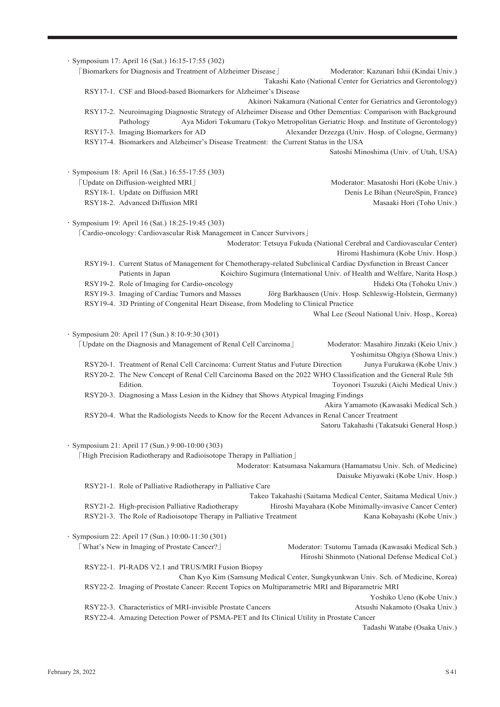・Symposium 17: April 16 (Sat.) 16:15-17:55 (302) 「Biomarkers for Diagnosis and Treatment of Alzheimer Disease」 Moderator: Kazunari Ishii (Kindai Univ.) Takashi Kato (National Center for Geriatrics and Gerontology) RSY17-1. CSF and Blood-based Biomarkers for Alzheimer's Disease Akinori Nakamura (National Center for Geriatrics and Gerontology) RSY17-2. Neuroimaging Diagnostic Strategy of Alzheimer Disease and Other Dementias: Comparison with Background Pathology Aya Midori Tokumaru (Tokyo Metropolitan Geriatric Hosp. and Institute of Gerontology) RSY17-3. Imaging Biomarkers for AD Alexander Drzezga (Univ. Hosp. of Cologne, Germany) RSY17-4. Biomarkers and Alzheimer's Disease Treatment: the Current Status in the USA Satoshi Minoshima (Univ. of Utah, USA) ・Symposium 18: April 16 (Sat.) 16:55-17:55 (303) 「Update on Diffusion-weighted MRI」 Moderator: Masatoshi Hori (Kobe Univ.) RSY18-1. Update on Diffusion MRI Denis Le Bihan (NeuroSpin, France) RSY18-2. Advanced Diffusion MRI Masaaki Hori (Toho Univ.) ・Symposium 19: April 16 (Sat.) 18:25-19:45 (303) 「Cardio-oncology: Cardiovascular Risk Management in Cancer Survivors」 Moderator: Tetsuya Fukuda (National Cerebral and Cardiovascular Center) Hiromi Hashimura (Kobe Univ. Hosp.) RSY19-1. Current Status of Management for Chemotherapy-related Subclinical Cardiac Dysfunction in Breast Cancer Patients in Japan Koichiro Sugimura (International Univ. of Health and Welfare, Narita Hosp.) RSY19-2. Role of Imaging for Cardio-oncology Hideki Ota (Tohoku Univ.) RSY19-3. Imaging of Cardiac Tumors and Masses Jörg Barkhausen (Univ. Hosp. Schleswig-Holstein, Germany) RSY19-4. 3D Printing of Congenital Heart Disease, from Modeling to Clinical Practice Whal Lee (Seoul National Univ. Hosp., Korea) ・Symposium 20: April 17 (Sun.) 8:10-9:30 (301) 「Update on the Diagnosis and Management of Renal Cell Carcinoma」 Moderator: Masahiro Jinzaki (Keio Univ.) Yoshimitsu Ohgiya (Showa Univ.) RSY20-1. Treatment of Renal Cell Carcinoma: Current Status and Future Direction Junya Furukawa (Kobe Univ.) RSY20-2. The New Concept of Renal Cell Carcinoma Based on the 2022 WHO Classification and the General Rule 5th Edition. Toyonori Tsuzuki (Aichi Medical Univ.) RSY20-3. Diagnosing a Mass Lesion in the Kidney that Shows Atypical Imaging Findings Akira Yamamoto (Kawasaki Medical Sch.) RSY20-4. What the Radiologists Needs to Know for the Recent Advances in Renal Cancer Treatment Satoru Takahashi (Takatsuki General Hosp.) ・Symposium 21: April 17 (Sun.) 9:00-10:00 (303) 「High Precision Radiotherapy and Radioisotope Therapy in Palliation」 Moderator: Katsumasa Nakamura (Hamamatsu Univ. Sch. of Medicine) Daisuke Miyawaki (Kobe Univ. Hosp.) RSY21-1. Role of Palliative Radiotherapy in Palliative Care Takeo Takahashi (Saitama Medical Center, Saitama Medical Univ.) RSY21-2. High-precision Palliative Radiotherapy Hiroshi Mayahara (Kobe Minimally-invasive Cancer Center) RSY21-3. The Role of Radioisotope Therapy in Palliative Treatment Kana Kobayashi (Kobe Univ.) ・Symposium 22: April 17 (Sun.) 10:00-11:30 (301) [What's New in Imaging of Prostate Cancer?] Moderator: Tsutomu Tamada (Kawasaki Medical Sch.) Hiroshi Shinmoto (National Defense Medical Col.) RSY22-1. PI-RADS V2.1 and TRUS/MRI Fusion Biopsy Chan Kyo Kim (Samsung Medical Center, Sungkyunkwan Univ. Sch. of Medicine, Korea) RSY22-2. Imaging of Prostate Cancer: Recent Topics on Multiparametric MRI and Biparametric MRI Yoshiko Ueno (Kobe Univ.) RSY22-3. Characteristics of MRI-invisible Prostate Cancers Atsushi Nakamoto (Osaka Univ.) RSY22-4. Amazing Detection Power of PSMA-PET and Its Clinical Utility in Prostate Cancer

Tadashi Watabe (Osaka Univ.)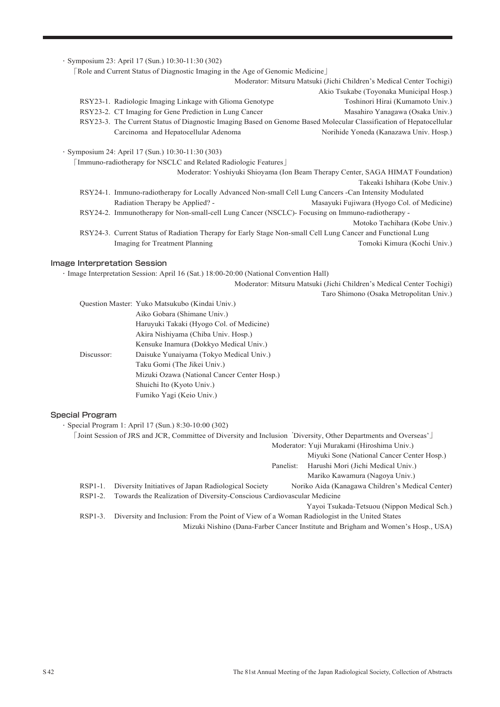|                                                                                                        | Role and Current Status of Diagnostic Imaging in the Age of Genomic Medicine                                       |
|--------------------------------------------------------------------------------------------------------|--------------------------------------------------------------------------------------------------------------------|
|                                                                                                        | Moderator: Mitsuru Matsuki (Jichi Children's Medical Center Tochigi)                                               |
|                                                                                                        | Akio Tsukabe (Toyonaka Municipal Hosp.)                                                                            |
| RSY23-1. Radiologic Imaging Linkage with Glioma Genotype                                               | Toshinori Hirai (Kumamoto Univ.)                                                                                   |
| RSY23-2. CT Imaging for Gene Prediction in Lung Cancer                                                 | Masahiro Yanagawa (Osaka Univ.)                                                                                    |
|                                                                                                        | RSY23-3. The Current Status of Diagnostic Imaging Based on Genome Based Molecular Classification of Hepatocellular |
| Carcinoma and Hepatocellular Adenoma                                                                   | Norihide Yoneda (Kanazawa Univ. Hosp.)                                                                             |
|                                                                                                        | Moderator: Yoshiyuki Shioyama (Ion Beam Therapy Center, SAGA HIMAT Foundation)<br>Takeaki Ishihara (Kobe Univ.)    |
| RSY24-1. Immuno-radiotherapy for Locally Advanced Non-small Cell Lung Cancers -Can Intensity Modulated |                                                                                                                    |
| Radiation Therapy be Applied? -                                                                        | Masayuki Fujiwara (Hyogo Col. of Medicine)                                                                         |
| RSY24-2. Immunotherapy for Non-small-cell Lung Cancer (NSCLC)- Focusing on Immuno-radiotherapy -       |                                                                                                                    |
|                                                                                                        | Motoko Tachihara (Kobe Univ.)                                                                                      |
|                                                                                                        | RSY24-3. Current Status of Radiation Therapy for Early Stage Non-small Cell Lung Cancer and Functional Lung        |
| Imaging for Treatment Planning                                                                         | Tomoki Kimura (Kochi Univ.)                                                                                        |

・Image Interpretation Session: April 16 (Sat.) 18:00-20:00 (National Convention Hall)

Moderator: Mitsuru Matsuki (Jichi Children's Medical Center Tochigi)

Taro Shimono (Osaka Metropolitan Univ.)

|            | Question Master: Yuko Matsukubo (Kindai Univ.) |
|------------|------------------------------------------------|
|            | Aiko Gobara (Shimane Univ.)                    |
|            | Haruyuki Takaki (Hyogo Col. of Medicine)       |
|            | Akira Nishiyama (Chiba Univ. Hosp.)            |
|            | Kensuke Inamura (Dokkyo Medical Univ.)         |
| Discussor: | Daisuke Yunaiyama (Tokyo Medical Univ.)        |
|            | Taku Gomi (The Jikei Univ.)                    |
|            | Mizuki Ozawa (National Cancer Center Hosp.)    |
|            | Shuichi Ito (Kyoto Univ.)                      |
|            | Fumiko Yagi (Keio Univ.)                       |

### Special Program

・Special Program 1: April 17 (Sun.) 8:30-10:00 (302)

「Joint Session of JRS and JCR, Committee of Diversity and Inclusion 'Diversity, Other Departments and Overseas'」 Moderator: Yuji Murakami (Hiroshima Univ.) Miyuki Sone (National Cancer Center Hosp.) Panelist: Harushi Mori (Jichi Medical Univ.) Mariko Kawamura (Nagoya Univ.) RSP1-1. Diversity Initiatives of Japan Radiological Society Noriko Aida (Kanagawa Children's Medical Center) RSP1-2. Towards the Realization of Diversity-Conscious Cardiovascular Medicine Yayoi Tsukada-Tetsuou (Nippon Medical Sch.) RSP1-3. Diversity and Inclusion: From the Point of View of a Woman Radiologist in the United States Mizuki Nishino (Dana-Farber Cancer Institute and Brigham and Women's Hosp., USA)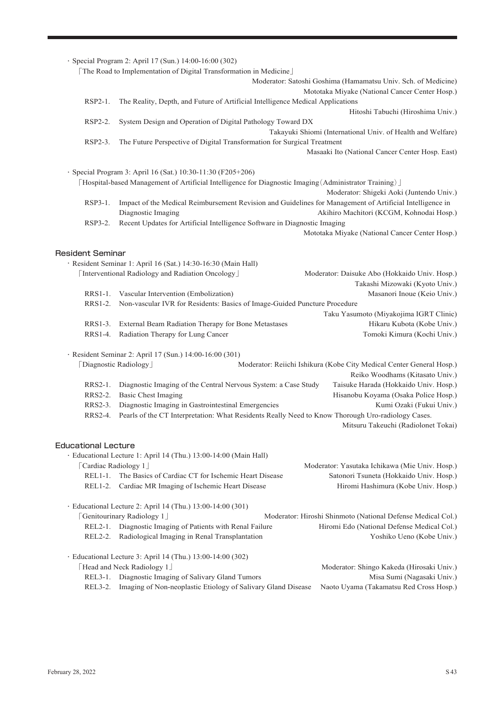|                            | · Special Program 2: April 17 (Sun.) 14:00-16:00 (302)                                                   |                                                                      |
|----------------------------|----------------------------------------------------------------------------------------------------------|----------------------------------------------------------------------|
|                            | [The Road to Implementation of Digital Transformation in Medicine]                                       |                                                                      |
|                            |                                                                                                          | Moderator: Satoshi Goshima (Hamamatsu Univ. Sch. of Medicine)        |
|                            |                                                                                                          | Mototaka Miyake (National Cancer Center Hosp.)                       |
| RSP2-1.                    | The Reality, Depth, and Future of Artificial Intelligence Medical Applications                           |                                                                      |
|                            |                                                                                                          | Hitoshi Tabuchi (Hiroshima Univ.)                                    |
| RSP2-2.                    | System Design and Operation of Digital Pathology Toward DX                                               |                                                                      |
|                            |                                                                                                          | Takayuki Shiomi (International Univ. of Health and Welfare)          |
| RSP2-3.                    | The Future Perspective of Digital Transformation for Surgical Treatment                                  |                                                                      |
|                            |                                                                                                          | Masaaki Ito (National Cancer Center Hosp. East)                      |
|                            | · Special Program 3: April 16 (Sat.) 10:30-11:30 (F205+206)                                              |                                                                      |
|                            | [Hospital-based Management of Artificial Intelligence for Diagnostic Imaging (Administrator Training)]   |                                                                      |
|                            |                                                                                                          | Moderator: Shigeki Aoki (Juntendo Univ.)                             |
| RSP3-1.                    | Impact of the Medical Reimbursement Revision and Guidelines for Management of Artificial Intelligence in |                                                                      |
|                            | Diagnostic Imaging                                                                                       | Akihiro Machitori (KCGM, Kohnodai Hosp.)                             |
| RSP3-2.                    | Recent Updates for Artificial Intelligence Software in Diagnostic Imaging                                |                                                                      |
|                            |                                                                                                          | Mototaka Miyake (National Cancer Center Hosp.)                       |
|                            |                                                                                                          |                                                                      |
| <b>Resident Seminar</b>    |                                                                                                          |                                                                      |
|                            | · Resident Seminar 1: April 16 (Sat.) 14:30-16:30 (Main Hall)                                            |                                                                      |
|                            | [Interventional Radiology and Radiation Oncology]                                                        | Moderator: Daisuke Abo (Hokkaido Univ. Hosp.)                        |
|                            |                                                                                                          | Takashi Mizowaki (Kyoto Univ.)                                       |
|                            | RRS1-1. Vascular Intervention (Embolization)                                                             | Masanori Inoue (Keio Univ.)                                          |
| RRS1-2.                    | Non-vascular IVR for Residents: Basics of Image-Guided Puncture Procedure                                |                                                                      |
|                            |                                                                                                          | Taku Yasumoto (Miyakojima IGRT Clinic)                               |
| RRS1-3.<br>RRS1-4.         | External Beam Radiation Therapy for Bone Metastases<br>Radiation Therapy for Lung Cancer                 | Hikaru Kubota (Kobe Univ.)<br>Tomoki Kimura (Kochi Univ.)            |
|                            |                                                                                                          |                                                                      |
|                            | · Resident Seminar 2: April 17 (Sun.) 14:00-16:00 (301)                                                  |                                                                      |
|                            | [Diagnostic Radiology]                                                                                   | Moderator: Reiichi Ishikura (Kobe City Medical Center General Hosp.) |
|                            |                                                                                                          | Reiko Woodhams (Kitasato Univ.)                                      |
| RRS2-1.                    | Diagnostic Imaging of the Central Nervous System: a Case Study                                           | Taisuke Harada (Hokkaido Univ. Hosp.)                                |
| RRS2-2.                    | <b>Basic Chest Imaging</b>                                                                               | Hisanobu Koyama (Osaka Police Hosp.)                                 |
| RRS2-3.                    | Diagnostic Imaging in Gastrointestinal Emergencies                                                       | Kumi Ozaki (Fukui Univ.)                                             |
| RRS2-4.                    | Pearls of the CT Interpretation: What Residents Really Need to Know Thorough Uro-radiology Cases.        |                                                                      |
|                            |                                                                                                          | Mitsuru Takeuchi (Radiolonet Tokai)                                  |
| <b>Educational Lecture</b> |                                                                                                          |                                                                      |
|                            | · Educational Lecture 1: April 14 (Thu.) 13:00-14:00 (Main Hall)                                         |                                                                      |
| [Cardiac Radiology 1]      |                                                                                                          | Moderator: Yasutaka Ichikawa (Mie Univ. Hosp.)                       |
| $REL1-1.$                  | The Basics of Cardiac CT for Ischemic Heart Disease                                                      | Satonori Tsuneta (Hokkaido Univ. Hosp.)                              |
| REL1-2.                    | Cardiac MR Imaging of Ischemic Heart Disease                                                             | Hiromi Hashimura (Kobe Univ. Hosp.)                                  |
|                            |                                                                                                          |                                                                      |
|                            | · Educational Lecture 2: April 14 (Thu.) 13:00-14:00 (301)                                               |                                                                      |
|                            | [Genitourinary Radiology 1]                                                                              | Moderator: Hiroshi Shinmoto (National Defense Medical Col.)          |
| REL2-1.                    | Diagnostic Imaging of Patients with Renal Failure                                                        | Hiromi Edo (National Defense Medical Col.)                           |
| REL2-2.                    | Radiological Imaging in Renal Transplantation                                                            | Yoshiko Ueno (Kobe Univ.)                                            |
|                            | · Educational Lecture 3: April 14 (Thu.) 13:00-14:00 (302)                                               |                                                                      |
|                            | [Head and Neck Radiology 1]                                                                              | Moderator: Shingo Kakeda (Hirosaki Univ.)                            |
|                            | REL3-1. Diagnostic Imaging of Salivary Gland Tumors                                                      | Misa Sumi (Nagasaki Univ.)                                           |
| <b>REL3-2.</b>             | Imaging of Non-neoplastic Etiology of Salivary Gland Disease                                             | Naoto Uyama (Takamatsu Red Cross Hosp.)                              |
|                            |                                                                                                          |                                                                      |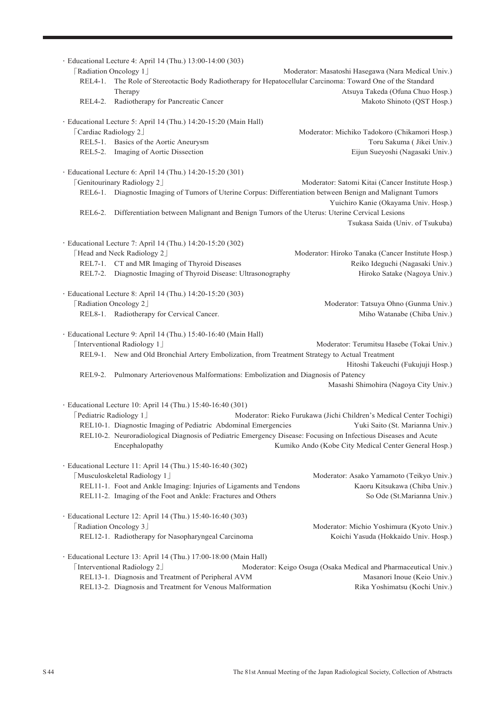| REL4-1.               | · Educational Lecture 4: April 14 (Thu.) 13:00-14:00 (303)<br>[Radiation Oncology 1]<br>The Role of Stereotactic Body Radiotherapy for Hepatocellular Carcinoma: Toward One of the Standard | Moderator: Masatoshi Hasegawa (Nara Medical Univ.)                         |
|-----------------------|---------------------------------------------------------------------------------------------------------------------------------------------------------------------------------------------|----------------------------------------------------------------------------|
|                       | Therapy                                                                                                                                                                                     | Atsuya Takeda (Ofuna Chuo Hosp.)                                           |
|                       | REL4-2. Radiotherapy for Pancreatic Cancer                                                                                                                                                  | Makoto Shinoto (QST Hosp.)                                                 |
|                       |                                                                                                                                                                                             |                                                                            |
|                       | · Educational Lecture 5: April 14 (Thu.) 14:20-15:20 (Main Hall)                                                                                                                            |                                                                            |
| [Cardiac Radiology 2] | REL5-1. Basics of the Aortic Aneurysm                                                                                                                                                       | Moderator: Michiko Tadokoro (Chikamori Hosp.)<br>Toru Sakuma (Jikei Univ.) |
|                       | REL5-2. Imaging of Aortic Dissection                                                                                                                                                        | Eijun Sueyoshi (Nagasaki Univ.)                                            |
|                       |                                                                                                                                                                                             |                                                                            |
|                       | · Educational Lecture 6: April 14 (Thu.) 14:20-15:20 (301)                                                                                                                                  |                                                                            |
|                       | [Genitourinary Radiology 2]                                                                                                                                                                 | Moderator: Satomi Kitai (Cancer Institute Hosp.)                           |
|                       | REL6-1. Diagnostic Imaging of Tumors of Uterine Corpus: Differentiation between Benign and Malignant Tumors                                                                                 | Yuichiro Kanie (Okayama Univ. Hosp.)                                       |
|                       | REL6-2. Differentiation between Malignant and Benign Tumors of the Uterus: Uterine Cervical Lesions                                                                                         |                                                                            |
|                       |                                                                                                                                                                                             | Tsukasa Saida (Univ. of Tsukuba)                                           |
|                       | · Educational Lecture 7: April 14 (Thu.) 14:20-15:20 (302)                                                                                                                                  |                                                                            |
|                       | [Head and Neck Radiology 2]                                                                                                                                                                 | Moderator: Hiroko Tanaka (Cancer Institute Hosp.)                          |
|                       | REL7-1. CT and MR Imaging of Thyroid Diseases                                                                                                                                               | Reiko Ideguchi (Nagasaki Univ.)                                            |
|                       | REL7-2. Diagnostic Imaging of Thyroid Disease: Ultrasonography                                                                                                                              | Hiroko Satake (Nagoya Univ.)                                               |
|                       | · Educational Lecture 8: April 14 (Thu.) 14:20-15:20 (303)                                                                                                                                  |                                                                            |
|                       | [Radiation Oncology 2]                                                                                                                                                                      | Moderator: Tatsuya Ohno (Gunma Univ.)                                      |
|                       | REL8-1. Radiotherapy for Cervical Cancer.                                                                                                                                                   | Miho Watanabe (Chiba Univ.)                                                |
|                       |                                                                                                                                                                                             |                                                                            |
|                       | · Educational Lecture 9: April 14 (Thu.) 15:40-16:40 (Main Hall)                                                                                                                            |                                                                            |
|                       | [Interventional Radiology 1]                                                                                                                                                                | Moderator: Terumitsu Hasebe (Tokai Univ.)                                  |
|                       | REL9-1. New and Old Bronchial Artery Embolization, from Treatment Strategy to Actual Treatment                                                                                              | Hitoshi Takeuchi (Fukujuji Hosp.)                                          |
|                       | REL9-2. Pulmonary Arteriovenous Malformations: Embolization and Diagnosis of Patency                                                                                                        |                                                                            |
|                       |                                                                                                                                                                                             | Masashi Shimohira (Nagoya City Univ.)                                      |
|                       | · Educational Lecture 10: April 14 (Thu.) 15:40-16:40 (301)                                                                                                                                 |                                                                            |
|                       | <b>[Pediatric Radiology 1]</b>                                                                                                                                                              | Moderator: Rieko Furukawa (Jichi Children's Medical Center Tochigi)        |
|                       | REL10-1. Diagnostic Imaging of Pediatric Abdominal Emergencies                                                                                                                              | Yuki Saito (St. Marianna Univ.)                                            |
|                       | REL10-2. Neuroradiological Diagnosis of Pediatric Emergency Disease: Focusing on Infectious Diseases and Acute                                                                              |                                                                            |
|                       | Encephalopathy                                                                                                                                                                              | Kumiko Ando (Kobe City Medical Center General Hosp.)                       |
|                       | · Educational Lecture 11: April 14 (Thu.) 15:40-16:40 (302)                                                                                                                                 |                                                                            |
|                       | [Musculoskeletal Radiology 1]                                                                                                                                                               | Moderator: Asako Yamamoto (Teikyo Univ.)                                   |
|                       | REL11-1. Foot and Ankle Imaging: Injuries of Ligaments and Tendons                                                                                                                          | Kaoru Kitsukawa (Chiba Univ.)                                              |
|                       | REL11-2. Imaging of the Foot and Ankle: Fractures and Others                                                                                                                                | So Ode (St.Marianna Univ.)                                                 |
|                       | · Educational Lecture 12: April 14 (Thu.) 15:40-16:40 (303)                                                                                                                                 |                                                                            |
|                       | [Radiation Oncology 3]                                                                                                                                                                      | Moderator: Michio Yoshimura (Kyoto Univ.)                                  |
|                       | REL12-1. Radiotherapy for Nasopharyngeal Carcinoma                                                                                                                                          | Koichi Yasuda (Hokkaido Univ. Hosp.)                                       |
|                       |                                                                                                                                                                                             |                                                                            |
|                       | · Educational Lecture 13: April 14 (Thu.) 17:00-18:00 (Main Hall)                                                                                                                           |                                                                            |
|                       | [Interventional Radiology 2]                                                                                                                                                                | Moderator: Keigo Osuga (Osaka Medical and Pharmaceutical Univ.)            |
|                       | REL13-1. Diagnosis and Treatment of Peripheral AVM                                                                                                                                          | Masanori Inoue (Keio Univ.)                                                |
|                       | REL13-2. Diagnosis and Treatment for Venous Malformation                                                                                                                                    | Rika Yoshimatsu (Kochi Univ.)                                              |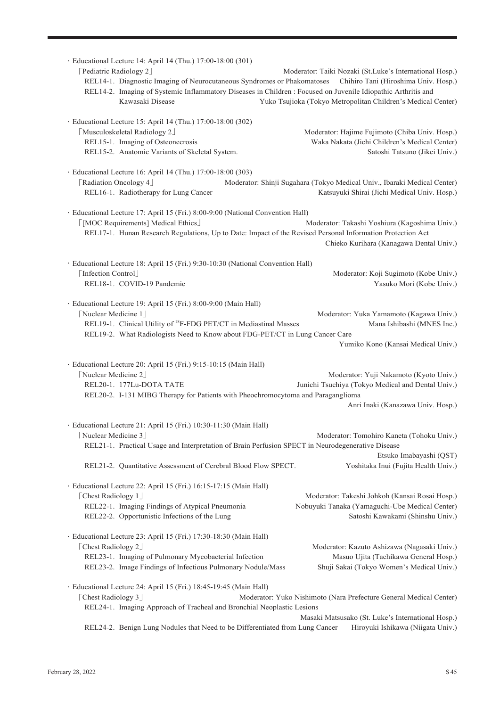| · Educational Lecture 14: April 14 (Thu.) 17:00-18:00 (301)<br>[Pediatric Radiology 2]<br>REL14-1. Diagnostic Imaging of Neurocutaneous Syndromes or Phakomatoses<br>REL14-2. Imaging of Systemic Inflammatory Diseases in Children : Focused on Juvenile Idiopathic Arthritis and<br>Kawasaki Disease                         | Moderator: Taiki Nozaki (St.Luke's International Hosp.)<br>Chihiro Tani (Hiroshima Univ. Hosp.)<br>Yuko Tsujioka (Tokyo Metropolitan Children's Medical Center) |  |  |
|--------------------------------------------------------------------------------------------------------------------------------------------------------------------------------------------------------------------------------------------------------------------------------------------------------------------------------|-----------------------------------------------------------------------------------------------------------------------------------------------------------------|--|--|
| · Educational Lecture 15: April 14 (Thu.) 17:00-18:00 (302)<br>[Musculoskeletal Radiology 2]<br>REL15-1. Imaging of Osteonecrosis<br>REL15-2. Anatomic Variants of Skeletal System.                                                                                                                                            | Moderator: Hajime Fujimoto (Chiba Univ. Hosp.)<br>Waka Nakata (Jichi Children's Medical Center)<br>Satoshi Tatsuno (Jikei Univ.)                                |  |  |
| · Educational Lecture 16: April 14 (Thu.) 17:00-18:00 (303)<br>[Radiation Oncology 4]<br>REL16-1. Radiotherapy for Lung Cancer                                                                                                                                                                                                 | Moderator: Shinji Sugahara (Tokyo Medical Univ., Ibaraki Medical Center)<br>Katsuyuki Shirai (Jichi Medical Univ. Hosp.)                                        |  |  |
| · Educational Lecture 17: April 15 (Fri.) 8:00-9:00 (National Convention Hall)<br>[MOC Requirements] Medical Ethics]<br>Moderator: Takashi Yoshiura (Kagoshima Univ.)<br>REL17-1. Hunan Research Regulations, Up to Date: Impact of the Revised Personal Information Protection Act<br>Chieko Kurihara (Kanagawa Dental Univ.) |                                                                                                                                                                 |  |  |
| · Educational Lecture 18: April 15 (Fri.) 9:30-10:30 (National Convention Hall)<br>[Infection Control]<br>REL18-1. COVID-19 Pandemic                                                                                                                                                                                           | Moderator: Koji Sugimoto (Kobe Univ.)<br>Yasuko Mori (Kobe Univ.)                                                                                               |  |  |
| · Educational Lecture 19: April 15 (Fri.) 8:00-9:00 (Main Hall)<br>[Nuclear Medicine 1]<br>REL19-1. Clinical Utility of <sup>18</sup> F-FDG PET/CT in Mediastinal Masses<br>REL19-2. What Radiologists Need to Know about FDG-PET/CT in Lung Cancer Care                                                                       | Moderator: Yuka Yamamoto (Kagawa Univ.)<br>Mana Ishibashi (MNES Inc.)<br>Yumiko Kono (Kansai Medical Univ.)                                                     |  |  |
| · Educational Lecture 20: April 15 (Fri.) 9:15-10:15 (Main Hall)<br>Nuclear Medicine 2<br>REL20-1. 177Lu-DOTA TATE<br>REL20-2. I-131 MIBG Therapy for Patients with Pheochromocytoma and Paraganglioma                                                                                                                         | Moderator: Yuji Nakamoto (Kyoto Univ.)<br>Junichi Tsuchiya (Tokyo Medical and Dental Univ.)<br>Anri Inaki (Kanazawa Univ. Hosp.)                                |  |  |
| · Educational Lecture 21: April 15 (Fri.) 10:30-11:30 (Main Hall)<br>Nuclear Medicine 3<br>REL21-1. Practical Usage and Interpretation of Brain Perfusion SPECT in Neurodegenerative Disease<br>REL21-2. Quantitative Assessment of Cerebral Blood Flow SPECT.                                                                 | Moderator: Tomohiro Kaneta (Tohoku Univ.)<br>Etsuko Imabayashi (QST)<br>Yoshitaka Inui (Fujita Health Univ.)                                                    |  |  |
| · Educational Lecture 22: April 15 (Fri.) 16:15-17:15 (Main Hall)<br>[Chest Radiology 1]<br>REL22-1. Imaging Findings of Atypical Pneumonia<br>REL22-2. Opportunistic Infections of the Lung                                                                                                                                   | Moderator: Takeshi Johkoh (Kansai Rosai Hosp.)<br>Nobuyuki Tanaka (Yamaguchi-Ube Medical Center)<br>Satoshi Kawakami (Shinshu Univ.)                            |  |  |
| · Educational Lecture 23: April 15 (Fri.) 17:30-18:30 (Main Hall)<br>[Chest Radiology 2]<br>REL23-1. Imaging of Pulmonary Mycobacterial Infection<br>REL23-2. Image Findings of Infectious Pulmonary Nodule/Mass                                                                                                               | Moderator: Kazuto Ashizawa (Nagasaki Univ.)<br>Masuo Ujita (Tachikawa General Hosp.)<br>Shuji Sakai (Tokyo Women's Medical Univ.)                               |  |  |
| · Educational Lecture 24: April 15 (Fri.) 18:45-19:45 (Main Hall)<br>[Chest Radiology 3]<br>REL24-1. Imaging Approach of Tracheal and Bronchial Neoplastic Lesions                                                                                                                                                             | Moderator: Yuko Nishimoto (Nara Prefecture General Medical Center)<br>Masaki Matsusako (St. Luke's International Hosp.)                                         |  |  |
| REL24-2. Benign Lung Nodules that Need to be Differentiated from Lung Cancer                                                                                                                                                                                                                                                   | Hiroyuki Ishikawa (Niigata Univ.)                                                                                                                               |  |  |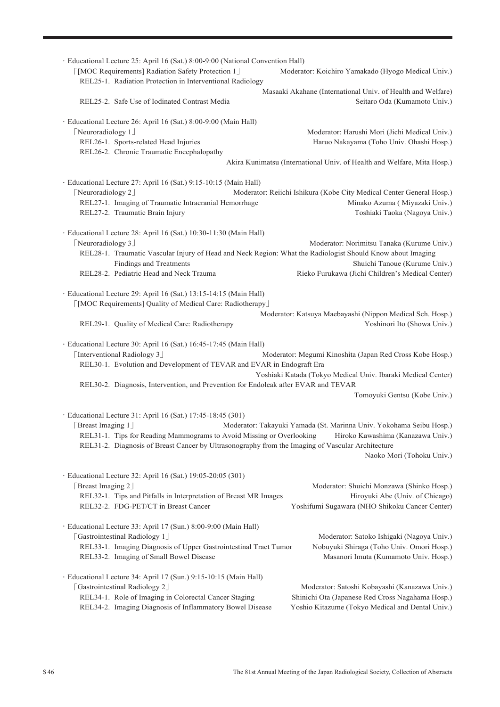| · Educational Lecture 25: April 16 (Sat.) 8:00-9:00 (National Convention Hall)<br>[MOC Requirements] Radiation Safety Protection 1]<br>REL25-1. Radiation Protection in Interventional Radiology                                                                                                           | Moderator: Koichiro Yamakado (Hyogo Medical Univ.)                                          |  |
|------------------------------------------------------------------------------------------------------------------------------------------------------------------------------------------------------------------------------------------------------------------------------------------------------------|---------------------------------------------------------------------------------------------|--|
| REL25-2. Safe Use of Iodinated Contrast Media                                                                                                                                                                                                                                                              | Masaaki Akahane (International Univ. of Health and Welfare)<br>Seitaro Oda (Kumamoto Univ.) |  |
|                                                                                                                                                                                                                                                                                                            |                                                                                             |  |
| · Educational Lecture 26: April 16 (Sat.) 8:00-9:00 (Main Hall)                                                                                                                                                                                                                                            |                                                                                             |  |
| [Neuroradiology 1]<br>REL26-1. Sports-related Head Injuries<br>REL26-2. Chronic Traumatic Encephalopathy                                                                                                                                                                                                   | Moderator: Harushi Mori (Jichi Medical Univ.)<br>Haruo Nakayama (Toho Univ. Ohashi Hosp.)   |  |
|                                                                                                                                                                                                                                                                                                            | Akira Kunimatsu (International Univ. of Health and Welfare, Mita Hosp.)                     |  |
|                                                                                                                                                                                                                                                                                                            |                                                                                             |  |
| · Educational Lecture 27: April 16 (Sat.) 9:15-10:15 (Main Hall)<br>[Neuroradiology 2]                                                                                                                                                                                                                     | Moderator: Reiichi Ishikura (Kobe City Medical Center General Hosp.)                        |  |
| REL27-1. Imaging of Traumatic Intracranial Hemorrhage                                                                                                                                                                                                                                                      | Minako Azuma ( Miyazaki Univ.)                                                              |  |
| REL27-2. Traumatic Brain Injury                                                                                                                                                                                                                                                                            | Toshiaki Taoka (Nagoya Univ.)                                                               |  |
| · Educational Lecture 28: April 16 (Sat.) 10:30-11:30 (Main Hall)                                                                                                                                                                                                                                          |                                                                                             |  |
| [Neuroradiology 3]                                                                                                                                                                                                                                                                                         | Moderator: Norimitsu Tanaka (Kurume Univ.)                                                  |  |
| REL28-1. Traumatic Vascular Injury of Head and Neck Region: What the Radiologist Should Know about Imaging                                                                                                                                                                                                 |                                                                                             |  |
| <b>Findings and Treatments</b>                                                                                                                                                                                                                                                                             | Shuichi Tanoue (Kurume Univ.)                                                               |  |
| REL28-2. Pediatric Head and Neck Trauma                                                                                                                                                                                                                                                                    | Rieko Furukawa (Jichi Children's Medical Center)                                            |  |
| · Educational Lecture 29: April 16 (Sat.) 13:15-14:15 (Main Hall)<br>[MOC Requirements] Quality of Medical Care: Radiotherapy]                                                                                                                                                                             |                                                                                             |  |
| REL29-1. Quality of Medical Care: Radiotherapy                                                                                                                                                                                                                                                             | Moderator: Katsuya Maebayashi (Nippon Medical Sch. Hosp.)<br>Yoshinori Ito (Showa Univ.)    |  |
| · Educational Lecture 30: April 16 (Sat.) 16:45-17:45 (Main Hall)<br>[Interventional Radiology 3]<br>Moderator: Megumi Kinoshita (Japan Red Cross Kobe Hosp.)<br>REL30-1. Evolution and Development of TEVAR and EVAR in Endograft Era<br>Yoshiaki Katada (Tokyo Medical Univ. Ibaraki Medical Center)     |                                                                                             |  |
| REL30-2. Diagnosis, Intervention, and Prevention for Endoleak after EVAR and TEVAR                                                                                                                                                                                                                         |                                                                                             |  |
|                                                                                                                                                                                                                                                                                                            | Tomoyuki Gentsu (Kobe Univ.)                                                                |  |
| · Educational Lecture 31: April 16 (Sat.) 17:45-18:45 (301)                                                                                                                                                                                                                                                |                                                                                             |  |
| [Breast Imaging 1]<br>Moderator: Takayuki Yamada (St. Marinna Univ. Yokohama Seibu Hosp.)<br>REL31-1. Tips for Reading Mammograms to Avoid Missing or Overlooking<br>Hiroko Kawashima (Kanazawa Univ.)<br>REL31-2. Diagnosis of Breast Cancer by Ultrasonography from the Imaging of Vascular Architecture |                                                                                             |  |
|                                                                                                                                                                                                                                                                                                            | Naoko Mori (Tohoku Univ.)                                                                   |  |
| · Educational Lecture 32: April 16 (Sat.) 19:05-20:05 (301)<br>[Breast Imaging 2]                                                                                                                                                                                                                          | Moderator: Shuichi Monzawa (Shinko Hosp.)                                                   |  |
| REL32-1. Tips and Pitfalls in Interpretation of Breast MR Images                                                                                                                                                                                                                                           | Hiroyuki Abe (Univ. of Chicago)                                                             |  |
| REL32-2. FDG-PET/CT in Breast Cancer                                                                                                                                                                                                                                                                       | Yoshifumi Sugawara (NHO Shikoku Cancer Center)                                              |  |
| · Educational Lecture 33: April 17 (Sun.) 8:00-9:00 (Main Hall)                                                                                                                                                                                                                                            |                                                                                             |  |
| [Gastrointestinal Radiology 1]                                                                                                                                                                                                                                                                             | Moderator: Satoko Ishigaki (Nagoya Univ.)                                                   |  |
| REL33-1. Imaging Diagnosis of Upper Gastrointestinal Tract Tumor                                                                                                                                                                                                                                           | Nobuyuki Shiraga (Toho Univ. Omori Hosp.)                                                   |  |
| REL33-2. Imaging of Small Bowel Disease                                                                                                                                                                                                                                                                    | Masanori Imuta (Kumamoto Univ. Hosp.)                                                       |  |
| · Educational Lecture 34: April 17 (Sun.) 9:15-10:15 (Main Hall)                                                                                                                                                                                                                                           |                                                                                             |  |
| [Gastrointestinal Radiology 2]                                                                                                                                                                                                                                                                             | Moderator: Satoshi Kobayashi (Kanazawa Univ.)                                               |  |
| REL34-1. Role of Imaging in Colorectal Cancer Staging                                                                                                                                                                                                                                                      | Shinichi Ota (Japanese Red Cross Nagahama Hosp.)                                            |  |
| REL34-2. Imaging Diagnosis of Inflammatory Bowel Disease                                                                                                                                                                                                                                                   | Yoshio Kitazume (Tokyo Medical and Dental Univ.)                                            |  |